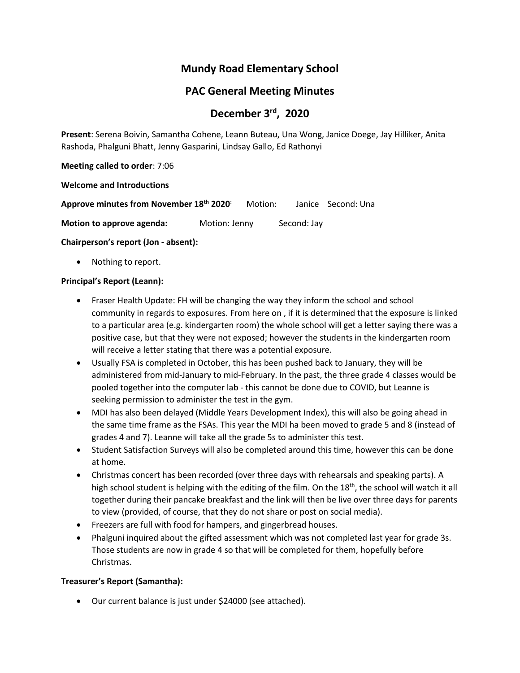# **Mundy Road Elementary School**

# **PAC General Meeting Minutes**

# **December 3rd , 2020**

**Present**: Serena Boivin, Samantha Cohene, Leann Buteau, Una Wong, Janice Doege, Jay Hilliker, Anita Rashoda, Phalguni Bhatt, Jenny Gasparini, Lindsay Gallo, Ed Rathonyi

**Meeting called to order**: 7:06

**Welcome and Introductions**

| Approve minutes from November 18 <sup>th</sup> 2020 <sup>:</sup> | Motion: | Janice Second: Una |
|------------------------------------------------------------------|---------|--------------------|
|                                                                  |         |                    |

**Motion to approve agenda:** Motion: Jenny Second: Jay

**Chairperson's report (Jon - absent):**

Nothing to report.

#### **Principal's Report (Leann):**

- Fraser Health Update: FH will be changing the way they inform the school and school community in regards to exposures. From here on , if it is determined that the exposure is linked to a particular area (e.g. kindergarten room) the whole school will get a letter saying there was a positive case, but that they were not exposed; however the students in the kindergarten room will receive a letter stating that there was a potential exposure.
- Usually FSA is completed in October, this has been pushed back to January, they will be administered from mid-January to mid-February. In the past, the three grade 4 classes would be pooled together into the computer lab - this cannot be done due to COVID, but Leanne is seeking permission to administer the test in the gym.
- MDI has also been delayed (Middle Years Development Index), this will also be going ahead in the same time frame as the FSAs. This year the MDI ha been moved to grade 5 and 8 (instead of grades 4 and 7). Leanne will take all the grade 5s to administer this test.
- Student Satisfaction Surveys will also be completed around this time, however this can be done at home.
- Christmas concert has been recorded (over three days with rehearsals and speaking parts). A high school student is helping with the editing of the film. On the 18<sup>th</sup>, the school will watch it all together during their pancake breakfast and the link will then be live over three days for parents to view (provided, of course, that they do not share or post on social media).
- Freezers are full with food for hampers, and gingerbread houses.
- Phalguni inquired about the gifted assessment which was not completed last year for grade 3s. Those students are now in grade 4 so that will be completed for them, hopefully before Christmas.

# **Treasurer's Report (Samantha):**

• Our current balance is just under \$24000 (see attached).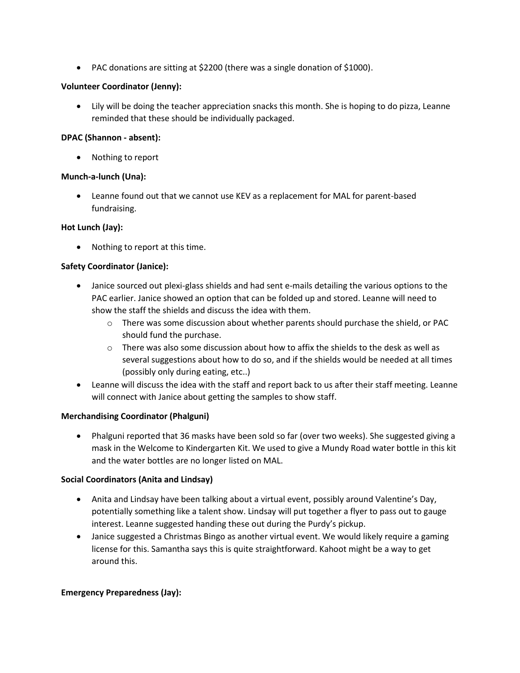• PAC donations are sitting at \$2200 (there was a single donation of \$1000).

#### **Volunteer Coordinator (Jenny):**

• Lily will be doing the teacher appreciation snacks this month. She is hoping to do pizza, Leanne reminded that these should be individually packaged.

#### **DPAC (Shannon - absent):**

• Nothing to report

# **Munch-a-lunch (Una):**

• Leanne found out that we cannot use KEV as a replacement for MAL for parent-based fundraising.

# **Hot Lunch (Jay):**

• Nothing to report at this time.

# **Safety Coordinator (Janice):**

- Janice sourced out plexi-glass shields and had sent e-mails detailing the various options to the PAC earlier. Janice showed an option that can be folded up and stored. Leanne will need to show the staff the shields and discuss the idea with them.
	- $\circ$  There was some discussion about whether parents should purchase the shield, or PAC should fund the purchase.
	- $\circ$  There was also some discussion about how to affix the shields to the desk as well as several suggestions about how to do so, and if the shields would be needed at all times (possibly only during eating, etc..)
- Leanne will discuss the idea with the staff and report back to us after their staff meeting. Leanne will connect with Janice about getting the samples to show staff.

#### **Merchandising Coordinator (Phalguni)**

• Phalguni reported that 36 masks have been sold so far (over two weeks). She suggested giving a mask in the Welcome to Kindergarten Kit. We used to give a Mundy Road water bottle in this kit and the water bottles are no longer listed on MAL.

#### **Social Coordinators (Anita and Lindsay)**

- Anita and Lindsay have been talking about a virtual event, possibly around Valentine's Day, potentially something like a talent show. Lindsay will put together a flyer to pass out to gauge interest. Leanne suggested handing these out during the Purdy's pickup.
- Janice suggested a Christmas Bingo as another virtual event. We would likely require a gaming license for this. Samantha says this is quite straightforward. Kahoot might be a way to get around this.

#### **Emergency Preparedness (Jay):**